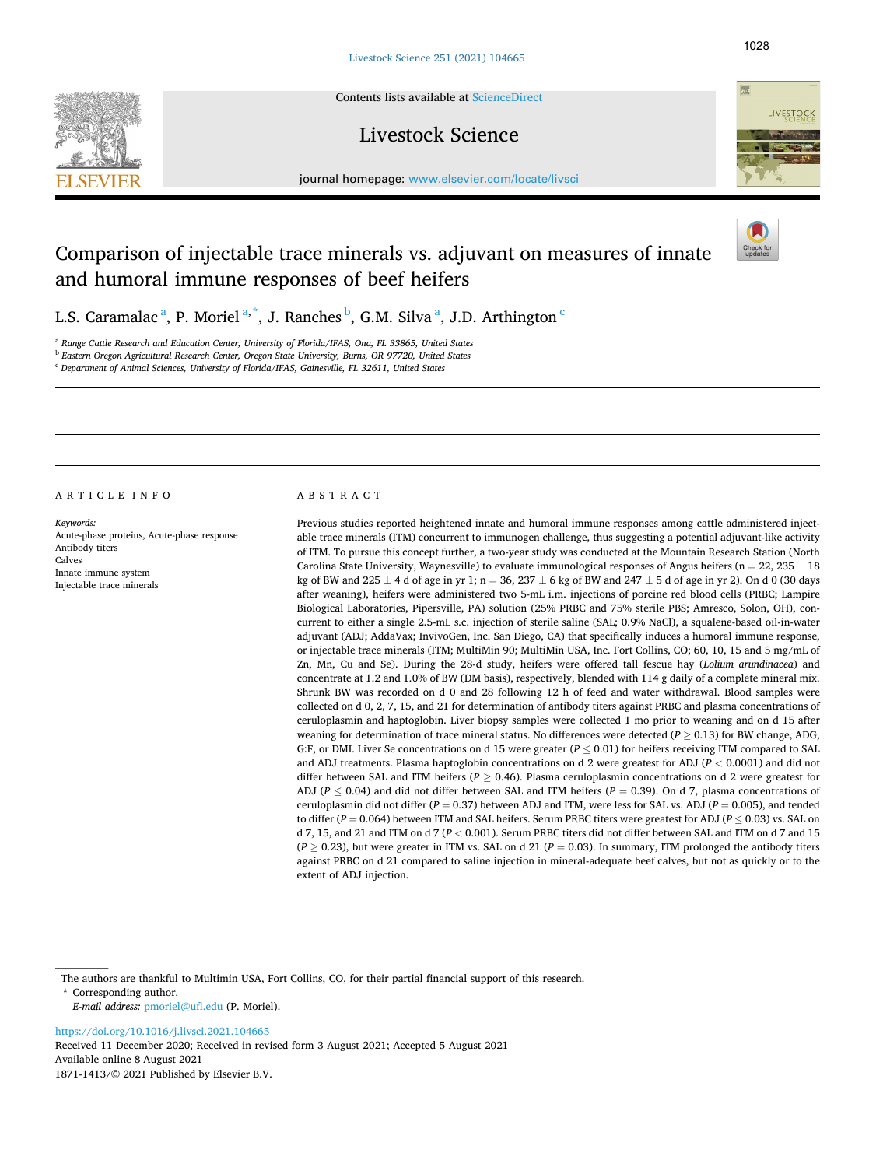Contents lists available at [ScienceDirect](www.sciencedirect.com/science/journal/18711413)

# Livestock Science

journal homepage: [www.elsevier.com/locate/livsci](https://www.elsevier.com/locate/livsci) 

# Comparison of injectable trace minerals vs. adjuvant on measures of innate and humoral immune responses of beef heifers

L.S. Caramalac <sup>a</sup>, P. Moriel <sup>a,\*</sup>, J. Ranches <sup>b</sup>, G.M. Silva <sup>a</sup>, J.D. Arthington <sup>c</sup>

<sup>a</sup> *Range Cattle Research and Education Center, University of Florida/IFAS, Ona, FL 33865, United States*  <sup>b</sup> *Eastern Oregon Agricultural Research Center, Oregon State University, Burns, OR 97720, United States* 

<sup>c</sup> *Department of Animal Sciences, University of Florida/IFAS, Gainesville, FL 32611, United States* 

ARTICLE INFO

*Keywords:*  Acute-phase proteins, Acute-phase response Antibody titers Calves Innate immune system Injectable trace minerals

### ABSTRACT

Previous studies reported heightened innate and humoral immune responses among cattle administered injectable trace minerals (ITM) concurrent to immunogen challenge, thus suggesting a potential adjuvant-like activity of ITM. To pursue this concept further, a two-year study was conducted at the Mountain Research Station (North Carolina State University, Waynesville) to evaluate immunological responses of Angus heifers ( $n = 22, 235 \pm 18$ ) kg of BW and  $225 \pm 4$  d of age in yr 1; n = 36,  $237 \pm 6$  kg of BW and  $247 \pm 5$  d of age in yr 2). On d 0 (30 days after weaning), heifers were administered two 5-mL i.m. injections of porcine red blood cells (PRBC; Lampire Biological Laboratories, Pipersville, PA) solution (25% PRBC and 75% sterile PBS; Amresco, Solon, OH), concurrent to either a single 2.5-mL s.c. injection of sterile saline (SAL; 0.9% NaCl), a squalene-based oil-in-water adjuvant (ADJ; AddaVax; InvivoGen, Inc. San Diego, CA) that specifically induces a humoral immune response, or injectable trace minerals (ITM; MultiMin 90; MultiMin USA, Inc. Fort Collins, CO; 60, 10, 15 and 5 mg/mL of Zn, Mn, Cu and Se). During the 28-d study, heifers were offered tall fescue hay (*Lolium arundinacea*) and concentrate at 1.2 and 1.0% of BW (DM basis), respectively, blended with 114 g daily of a complete mineral mix. Shrunk BW was recorded on d 0 and 28 following 12 h of feed and water withdrawal. Blood samples were collected on d 0, 2, 7, 15, and 21 for determination of antibody titers against PRBC and plasma concentrations of ceruloplasmin and haptoglobin. Liver biopsy samples were collected 1 mo prior to weaning and on d 15 after weaning for determination of trace mineral status. No differences were detected (*P* ≥ 0.13) for BW change, ADG, G:F, or DMI. Liver Se concentrations on d 15 were greater ( $P \leq 0.01$ ) for heifers receiving ITM compared to SAL and ADJ treatments. Plasma haptoglobin concentrations on d 2 were greatest for ADJ (*P <* 0.0001) and did not differ between SAL and ITM heifers (*P* ≥ 0.46). Plasma ceruloplasmin concentrations on d 2 were greatest for ADJ ( $P \le 0.04$ ) and did not differ between SAL and ITM heifers ( $P = 0.39$ ). On d 7, plasma concentrations of ceruloplasmin did not differ (*P* = 0.37) between ADJ and ITM, were less for SAL vs. ADJ (*P* = 0.005), and tended to differ (*P* = 0.064) between ITM and SAL heifers. Serum PRBC titers were greatest for ADJ (*P* ≤ 0.03) vs. SAL on d 7, 15, and 21 and ITM on d 7 (*P <* 0.001). Serum PRBC titers did not differ between SAL and ITM on d 7 and 15  $(P \ge 0.23)$ , but were greater in ITM vs. SAL on d 21 ( $P = 0.03$ ). In summary, ITM prolonged the antibody titers against PRBC on d 21 compared to saline injection in mineral-adequate beef calves, but not as quickly or to the extent of ADJ injection.

The authors are thankful to Multimin USA, Fort Collins, CO, for their partial financial support of this research.

\* Corresponding author.

<https://doi.org/10.1016/j.livsci.2021.104665>

Available online 8 August 2021 1871-1413/© 2021 Published by Elsevier B.V. Received 11 December 2020; Received in revised form 3 August 2021; Accepted 5 August 2021



*E-mail address:* [pmoriel@ufl.edu](mailto:pmoriel@ufl.edu) (P. Moriel).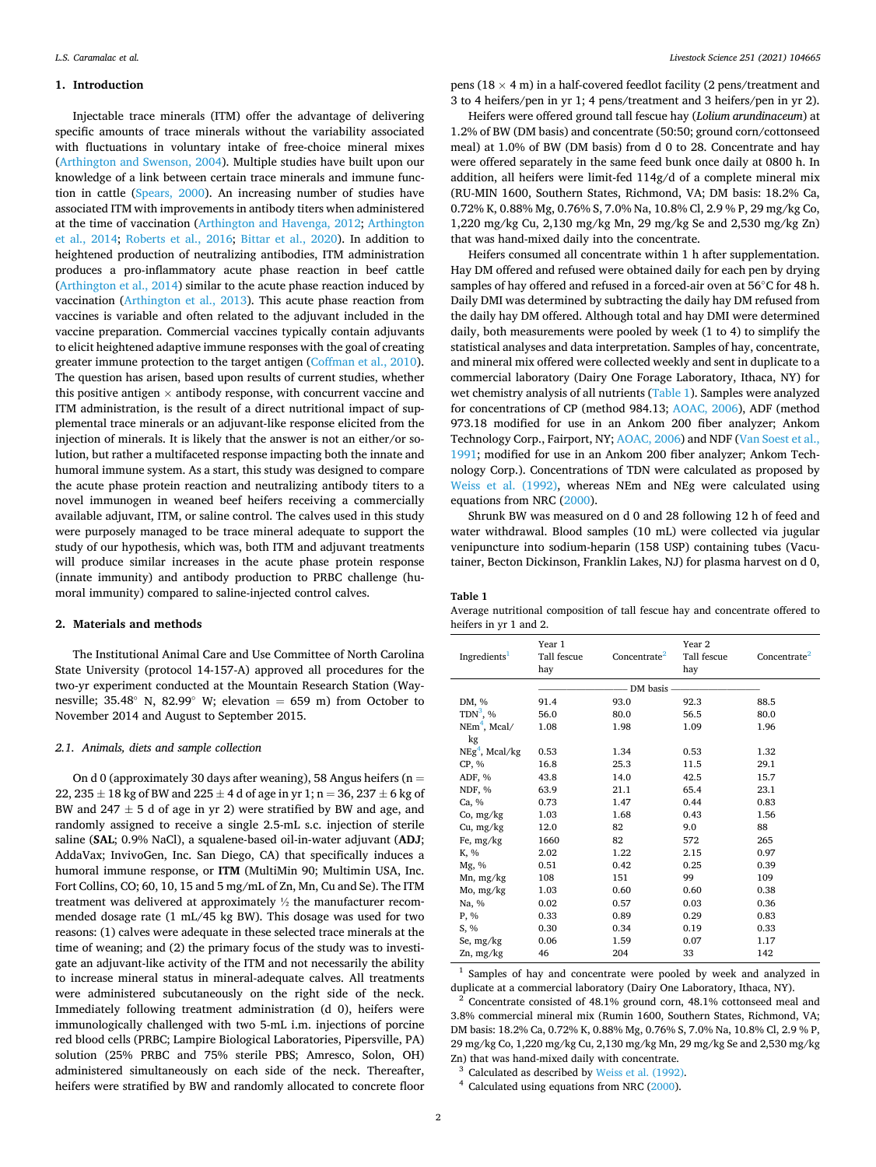### **1. Introduction**

Injectable trace minerals (ITM) offer the advantage of delivering specific amounts of trace minerals without the variability associated with fluctuations in voluntary intake of free-choice mineral mixes ([Arthington and Swenson, 2004\)](#page-5-0). Multiple studies have built upon our knowledge of a link between certain trace minerals and immune function in cattle [\(Spears, 2000](#page-5-0)). An increasing number of studies have associated ITM with improvements in antibody titers when administered at the time of vaccination ([Arthington and Havenga, 2012](#page-5-0); [Arthington](#page-5-0)  [et al., 2014;](#page-5-0) [Roberts et al., 2016](#page-5-0); [Bittar et al., 2020](#page-5-0)). In addition to heightened production of neutralizing antibodies, ITM administration produces a pro-inflammatory acute phase reaction in beef cattle ([Arthington et al., 2014](#page-5-0)) similar to the acute phase reaction induced by vaccination [\(Arthington et al., 2013\)](#page-5-0). This acute phase reaction from vaccines is variable and often related to the adjuvant included in the vaccine preparation. Commercial vaccines typically contain adjuvants to elicit heightened adaptive immune responses with the goal of creating greater immune protection to the target antigen [\(Coffman et al., 2010](#page-5-0)). The question has arisen, based upon results of current studies, whether this positive antigen  $\times$  antibody response, with concurrent vaccine and ITM administration, is the result of a direct nutritional impact of supplemental trace minerals or an adjuvant-like response elicited from the injection of minerals. It is likely that the answer is not an either/or solution, but rather a multifaceted response impacting both the innate and humoral immune system. As a start, this study was designed to compare the acute phase protein reaction and neutralizing antibody titers to a novel immunogen in weaned beef heifers receiving a commercially available adjuvant, ITM, or saline control. The calves used in this study were purposely managed to be trace mineral adequate to support the study of our hypothesis, which was, both ITM and adjuvant treatments will produce similar increases in the acute phase protein response (innate immunity) and antibody production to PRBC challenge (humoral immunity) compared to saline-injected control calves.

#### **2. Materials and methods**

The Institutional Animal Care and Use Committee of North Carolina State University (protocol 14-157-A) approved all procedures for the two-yr experiment conducted at the Mountain Research Station (Waynesville; 35.48° N, 82.99° W; elevation = 659 m) from October to November 2014 and August to September 2015.

# *2.1. Animals, diets and sample collection*

On d 0 (approximately 30 days after weaning), 58 Angus heifers ( $n =$ 22, 235  $\pm$  18 kg of BW and 225  $\pm$  4 d of age in yr 1; n = 36, 237  $\pm$  6 kg of BW and  $247 \pm 5$  d of age in yr 2) were stratified by BW and age, and randomly assigned to receive a single 2.5-mL s.c. injection of sterile saline (**SAL**; 0.9% NaCl), a squalene-based oil-in-water adjuvant (**ADJ**; AddaVax; InvivoGen, Inc. San Diego, CA) that specifically induces a humoral immune response, or **ITM** (MultiMin 90; Multimin USA, Inc. Fort Collins, CO; 60, 10, 15 and 5 mg/mL of Zn, Mn, Cu and Se). The ITM treatment was delivered at approximately ½ the manufacturer recommended dosage rate (1 mL/45 kg BW). This dosage was used for two reasons: (1) calves were adequate in these selected trace minerals at the time of weaning; and (2) the primary focus of the study was to investigate an adjuvant-like activity of the ITM and not necessarily the ability to increase mineral status in mineral-adequate calves. All treatments were administered subcutaneously on the right side of the neck. Immediately following treatment administration (d 0), heifers were immunologically challenged with two 5-mL i.m. injections of porcine red blood cells (PRBC; Lampire Biological Laboratories, Pipersville, PA) solution (25% PRBC and 75% sterile PBS; Amresco, Solon, OH) administered simultaneously on each side of the neck. Thereafter, heifers were stratified by BW and randomly allocated to concrete floor

pens (18  $\times$  4 m) in a half-covered feedlot facility (2 pens/treatment and 3 to 4 heifers/pen in yr 1; 4 pens/treatment and 3 heifers/pen in yr 2).

Heifers were offered ground tall fescue hay (*Lolium arundinaceum*) at 1.2% of BW (DM basis) and concentrate (50:50; ground corn/cottonseed meal) at 1.0% of BW (DM basis) from d 0 to 28. Concentrate and hay were offered separately in the same feed bunk once daily at 0800 h. In addition, all heifers were limit-fed 114g/d of a complete mineral mix (RU-MIN 1600, Southern States, Richmond, VA; DM basis: 18.2% Ca, 0.72% K, 0.88% Mg, 0.76% S, 7.0% Na, 10.8% Cl, 2.9 % P, 29 mg/kg Co, 1,220 mg/kg Cu, 2,130 mg/kg Mn, 29 mg/kg Se and 2,530 mg/kg Zn) that was hand-mixed daily into the concentrate.

Heifers consumed all concentrate within 1 h after supplementation. Hay DM offered and refused were obtained daily for each pen by drying samples of hay offered and refused in a forced-air oven at 56◦C for 48 h. Daily DMI was determined by subtracting the daily hay DM refused from the daily hay DM offered. Although total and hay DMI were determined daily, both measurements were pooled by week (1 to 4) to simplify the statistical analyses and data interpretation. Samples of hay, concentrate, and mineral mix offered were collected weekly and sent in duplicate to a commercial laboratory (Dairy One Forage Laboratory, Ithaca, NY) for wet chemistry analysis of all nutrients (Table 1). Samples were analyzed for concentrations of CP (method 984.13; [AOAC, 2006](#page-5-0)), ADF (method 973.18 modified for use in an Ankom 200 fiber analyzer; Ankom Technology Corp., Fairport, NY; [AOAC, 2006\)](#page-5-0) and NDF ([Van Soest et al.,](#page-5-0)  [1991;](#page-5-0) modified for use in an Ankom 200 fiber analyzer; Ankom Technology Corp.). Concentrations of TDN were calculated as proposed by [Weiss et al. \(1992\)](#page-5-0), whereas NEm and NEg were calculated using equations from NRC ([2000](#page-5-0)).

Shrunk BW was measured on d 0 and 28 following 12 h of feed and water withdrawal. Blood samples (10 mL) were collected via jugular venipuncture into sodium-heparin (158 USP) containing tubes (Vacutainer, Becton Dickinson, Franklin Lakes, NJ) for plasma harvest on d 0,

#### **Table 1**

Average nutritional composition of tall fescue hay and concentrate offered to heifers in yr 1 and 2.

| Ingredients <sup>1</sup> | Year 1<br>Tall fescue<br>hay | Concentrate <sup>2</sup> | Year 2<br>Tall fescue<br>hay | Concentrate <sup>2</sup> |  |
|--------------------------|------------------------------|--------------------------|------------------------------|--------------------------|--|
|                          | DM basis                     |                          |                              |                          |  |
| DM, %                    | 91.4                         | 93.0                     | 92.3                         | 88.5                     |  |
| $TDN^3$ , %              | 56.0                         | 80.0                     | 56.5                         | 80.0                     |  |
| $NEm4$ , Mcal/           | 1.08                         | 1.98                     | 1.09                         | 1.96                     |  |
| kg                       |                              |                          |                              |                          |  |
| $NEg4$ , Mcal/kg         | 0.53                         | 1.34                     | 0.53                         | 1.32                     |  |
| CP, %                    | 16.8                         | 25.3                     | 11.5                         | 29.1                     |  |
| ADF, %                   | 43.8                         | 14.0                     | 42.5                         | 15.7                     |  |
| NDF, %                   | 63.9                         | 21.1                     | 65.4                         | 23.1                     |  |
| Ca, %                    | 0.73                         | 1.47                     | 0.44                         | 0.83                     |  |
| Co, mg/kg                | 1.03                         | 1.68                     | 0.43                         | 1.56                     |  |
| Cu, mg/kg                | 12.0                         | 82                       | 9.0                          | 88                       |  |
| Fe, $mg/kg$              | 1660                         | 82                       | 572                          | 265                      |  |
| K, %                     | 2.02                         | 1.22                     | 2.15                         | 0.97                     |  |
| Mg, %                    | 0.51                         | 0.42                     | 0.25                         | 0.39                     |  |
| Mn, mg/kg                | 108                          | 151                      | 99                           | 109                      |  |
| Mo, mg/kg                | 1.03                         | 0.60                     | 0.60                         | 0.38                     |  |
| Na, %                    | 0.02                         | 0.57                     | 0.03                         | 0.36                     |  |
| P, %                     | 0.33                         | 0.89                     | 0.29                         | 0.83                     |  |
| S, %                     | 0.30                         | 0.34                     | 0.19                         | 0.33                     |  |
| Se, mg/kg                | 0.06                         | 1.59                     | 0.07                         | 1.17                     |  |
| $Zn$ , mg/ $kg$          | 46                           | 204                      | 33                           | 142                      |  |

<sup>1</sup> Samples of hay and concentrate were pooled by week and analyzed in duplicate at a commercial laboratory (Dairy One Laboratory, Ithaca, NY).

<sup>2</sup> Concentrate consisted of 48.1% ground corn, 48.1% cottonseed meal and 3.8% commercial mineral mix (Rumin 1600, Southern States, Richmond, VA; DM basis: 18.2% Ca, 0.72% K, 0.88% Mg, 0.76% S, 7.0% Na, 10.8% Cl, 2.9 % P, 29 mg/kg Co, 1,220 mg/kg Cu, 2,130 mg/kg Mn, 29 mg/kg Se and 2,530 mg/kg Zn) that was hand-mixed daily with concentrate.

 $^3$  Calculated as described by [Weiss et al. \(1992\)](#page-5-0).  $^4$  Calculated using equations from NRC ([2000\)](#page-5-0).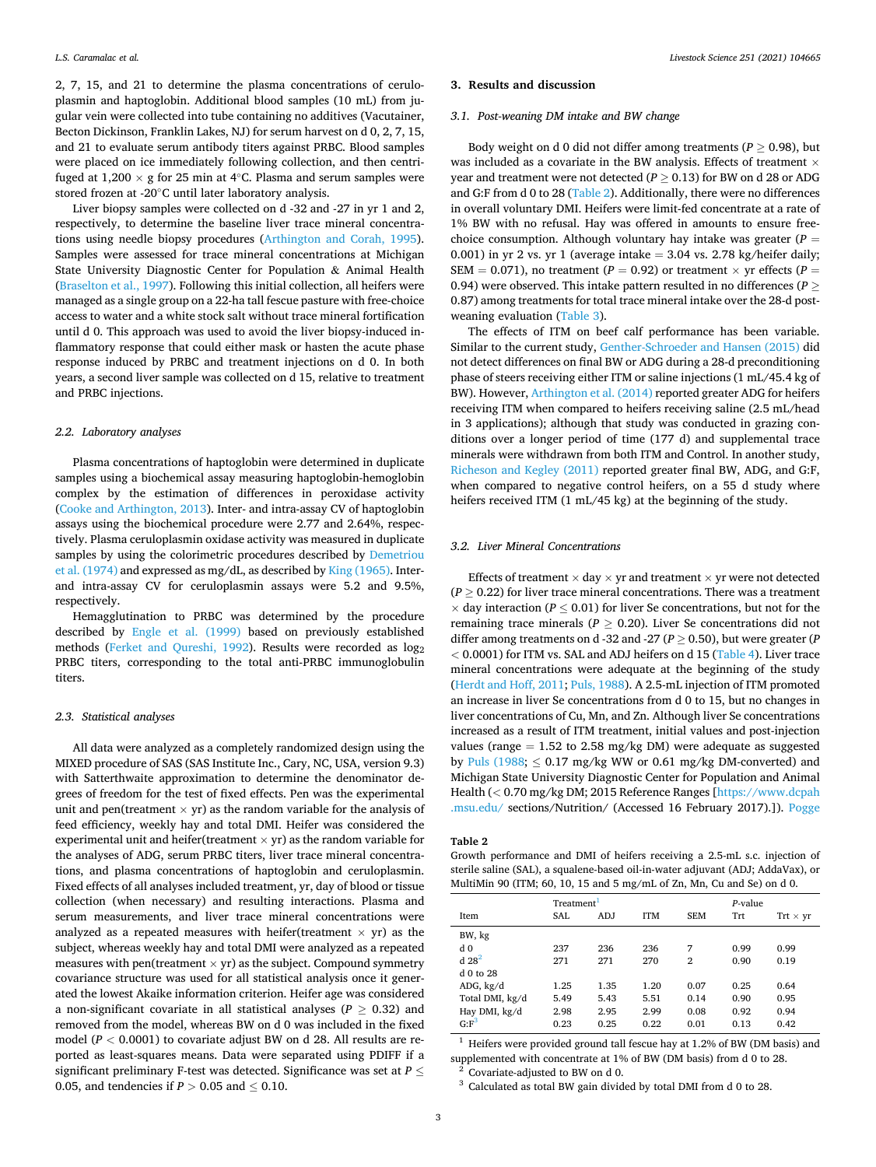2, 7, 15, and 21 to determine the plasma concentrations of ceruloplasmin and haptoglobin. Additional blood samples (10 mL) from jugular vein were collected into tube containing no additives (Vacutainer, Becton Dickinson, Franklin Lakes, NJ) for serum harvest on d 0, 2, 7, 15, and 21 to evaluate serum antibody titers against PRBC. Blood samples were placed on ice immediately following collection, and then centrifuged at  $1,200 \times g$  for 25 min at 4 $°C$ . Plasma and serum samples were stored frozen at -20◦C until later laboratory analysis.

Liver biopsy samples were collected on d -32 and -27 in yr 1 and 2, respectively, to determine the baseline liver trace mineral concentrations using needle biopsy procedures ([Arthington and Corah, 1995](#page-5-0)). Samples were assessed for trace mineral concentrations at Michigan State University Diagnostic Center for Population & Animal Health ([Braselton et al., 1997\)](#page-5-0). Following this initial collection, all heifers were managed as a single group on a 22-ha tall fescue pasture with free-choice access to water and a white stock salt without trace mineral fortification until d 0. This approach was used to avoid the liver biopsy-induced inflammatory response that could either mask or hasten the acute phase response induced by PRBC and treatment injections on d 0. In both years, a second liver sample was collected on d 15, relative to treatment and PRBC injections.

# *2.2. Laboratory analyses*

Plasma concentrations of haptoglobin were determined in duplicate samples using a biochemical assay measuring haptoglobin-hemoglobin complex by the estimation of differences in peroxidase activity ([Cooke and Arthington, 2013\)](#page-5-0). Inter- and intra-assay CV of haptoglobin assays using the biochemical procedure were 2.77 and 2.64%, respectively. Plasma ceruloplasmin oxidase activity was measured in duplicate samples by using the colorimetric procedures described by [Demetriou](#page-5-0)  [et al. \(1974\)](#page-5-0) and expressed as mg/dL, as described by [King \(1965\)](#page-5-0). Interand intra-assay CV for ceruloplasmin assays were 5.2 and 9.5%, respectively.

Hemagglutination to PRBC was determined by the procedure described by [Engle et al. \(1999\)](#page-5-0) based on previously established methods [\(Ferket and Qureshi, 1992](#page-5-0)). Results were recorded as  $log_2$ PRBC titers, corresponding to the total anti-PRBC immunoglobulin titers.

# *2.3. Statistical analyses*

All data were analyzed as a completely randomized design using the MIXED procedure of SAS (SAS Institute Inc., Cary, NC, USA, version 9.3) with Satterthwaite approximation to determine the denominator degrees of freedom for the test of fixed effects. Pen was the experimental unit and pen(treatment  $\times$  yr) as the random variable for the analysis of feed efficiency, weekly hay and total DMI. Heifer was considered the experimental unit and heifer(treatment  $\times$  yr) as the random variable for the analyses of ADG, serum PRBC titers, liver trace mineral concentrations, and plasma concentrations of haptoglobin and ceruloplasmin. Fixed effects of all analyses included treatment, yr, day of blood or tissue collection (when necessary) and resulting interactions. Plasma and serum measurements, and liver trace mineral concentrations were analyzed as a repeated measures with heifer(treatment  $\times$  yr) as the subject, whereas weekly hay and total DMI were analyzed as a repeated measures with pen(treatment  $\times$  yr) as the subject. Compound symmetry covariance structure was used for all statistical analysis once it generated the lowest Akaike information criterion. Heifer age was considered a non-significant covariate in all statistical analyses ( $P \geq 0.32$ ) and removed from the model, whereas BW on d 0 was included in the fixed model (*P <* 0.0001) to covariate adjust BW on d 28. All results are reported as least-squares means. Data were separated using PDIFF if a significant preliminary F-test was detected. Significance was set at *P* ≤ 0.05, and tendencies if  $P > 0.05$  and  $\leq 0.10$ .

## **3. Results and discussion**

## *3.1. Post-weaning DM intake and BW change*

Body weight on d 0 did not differ among treatments ( $P \geq 0.98$ ), but was included as a covariate in the BW analysis. Effects of treatment  $\times$ year and treatment were not detected ( $P \geq 0.13$ ) for BW on d 28 or ADG and G:F from d 0 to 28 (Table 2). Additionally, there were no differences in overall voluntary DMI. Heifers were limit-fed concentrate at a rate of 1% BW with no refusal. Hay was offered in amounts to ensure freechoice consumption. Although voluntary hay intake was greater (*P* = 0.001) in yr 2 vs. yr 1 (average intake  $= 3.04$  vs. 2.78 kg/heifer daily; SEM = 0.071), no treatment ( $P = 0.92$ ) or treatment  $\times$  yr effects ( $P =$ 0.94) were observed. This intake pattern resulted in no differences (*P* ≥ 0.87) among treatments for total trace mineral intake over the 28-d postweaning evaluation [\(Table 3\)](#page-3-0).

The effects of ITM on beef calf performance has been variable. Similar to the current study, [Genther-Schroeder and Hansen \(2015\)](#page-5-0) did not detect differences on final BW or ADG during a 28-d preconditioning phase of steers receiving either ITM or saline injections (1 mL/45.4 kg of BW). However, [Arthington et al. \(2014\)](#page-5-0) reported greater ADG for heifers receiving ITM when compared to heifers receiving saline (2.5 mL/head in 3 applications); although that study was conducted in grazing conditions over a longer period of time (177 d) and supplemental trace minerals were withdrawn from both ITM and Control. In another study, [Richeson and Kegley \(2011\)](#page-5-0) reported greater final BW, ADG, and G:F, when compared to negative control heifers, on a 55 d study where heifers received ITM (1 mL/45 kg) at the beginning of the study.

#### *3.2. Liver Mineral Concentrations*

Effects of treatment  $\times$  day  $\times$  yr and treatment  $\times$  yr were not detected  $(P \ge 0.22)$  for liver trace mineral concentrations. There was a treatment  $\times$  day interaction ( $P \leq 0.01$ ) for liver Se concentrations, but not for the remaining trace minerals ( $P \geq 0.20$ ). Liver Se concentrations did not differ among treatments on d -32 and -27 ( $P \geq 0.50$ ), but were greater (*P <* 0.0001) for ITM vs. SAL and ADJ heifers on d 15 [\(Table 4](#page-3-0)). Liver trace mineral concentrations were adequate at the beginning of the study ([Herdt and Hoff, 2011](#page-5-0); [Puls, 1988\)](#page-5-0). A 2.5-mL injection of ITM promoted an increase in liver Se concentrations from d 0 to 15, but no changes in liver concentrations of Cu, Mn, and Zn. Although liver Se concentrations increased as a result of ITM treatment, initial values and post-injection values (range  $= 1.52$  to 2.58 mg/kg DM) were adequate as suggested by [Puls \(1988;](#page-5-0)  $\leq$  0.17 mg/kg WW or 0.61 mg/kg DM-converted) and Michigan State University Diagnostic Center for Population and Animal Health (*<* 0.70 mg/kg DM; 2015 Reference Ranges [[https://www.dcpah](https://www.dcpah.msu.edu/)  [.msu.edu/](https://www.dcpah.msu.edu/) sections/Nutrition/ (Accessed 16 February 2017).]). [Pogge](#page-5-0) 

#### **Table 2**

Growth performance and DMI of heifers receiving a 2.5-mL s.c. injection of sterile saline (SAL), a squalene-based oil-in-water adjuvant (ADJ; AddaVax), or MultiMin 90 (ITM; 60, 10, 15 and 5 mg/mL of Zn, Mn, Cu and Se) on d 0.

|                     | Treatment <sup>1</sup> |      |            |            | $P$ -value |                 |
|---------------------|------------------------|------|------------|------------|------------|-----------------|
| <b>Item</b>         | SAL                    | ADJ  | <b>ITM</b> | <b>SEM</b> | Trt        | $Trt \times yr$ |
| BW, kg              |                        |      |            |            |            |                 |
| d <sub>0</sub>      | 237                    | 236  | 236        | 7          | 0.99       | 0.99            |
| $d$ 28 <sup>2</sup> | 271                    | 271  | 270        | 2          | 0.90       | 0.19            |
| $d$ 0 to 28         |                        |      |            |            |            |                 |
| ADG, kg/d           | 1.25                   | 1.35 | 1.20       | 0.07       | 0.25       | 0.64            |
| Total DMI, kg/d     | 5.49                   | 5.43 | 5.51       | 0.14       | 0.90       | 0.95            |
| Hay DMI, kg/d       | 2.98                   | 2.95 | 2.99       | 0.08       | 0.92       | 0.94            |
| $G: F^3$            | 0.23                   | 0.25 | 0.22       | 0.01       | 0.13       | 0.42            |
|                     |                        |      |            |            |            |                 |

 $1$  Heifers were provided ground tall fescue hay at 1.2% of BW (DM basis) and supplemented with concentrate at 1% of BW (DM basis) from d 0 to 28.

<sup>2</sup> Covariate-adjusted to BW on d 0.<br><sup>3</sup> Calculated as total BW gain divided by total DMI from d 0 to 28.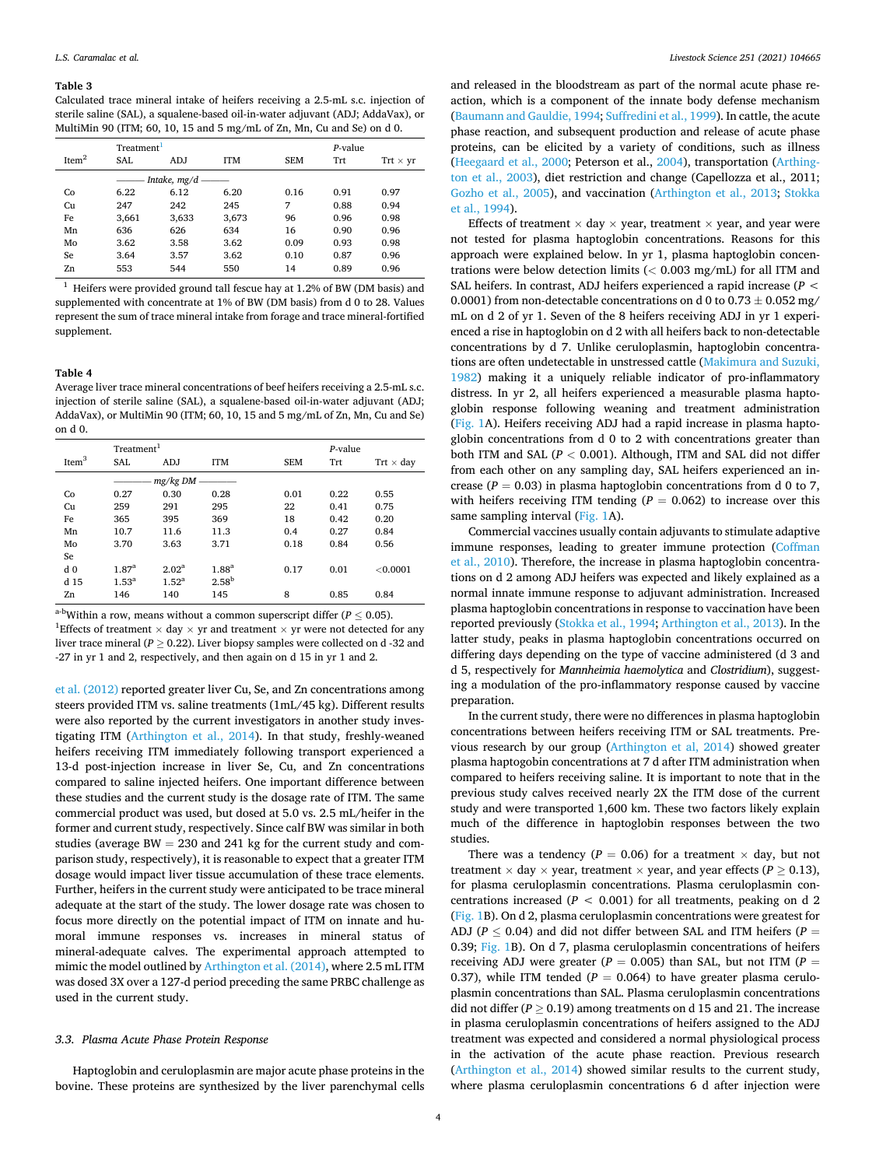#### <span id="page-3-0"></span>**Table 3**

Calculated trace mineral intake of heifers receiving a 2.5-mL s.c. injection of sterile saline (SAL), a squalene-based oil-in-water adjuvant (ADJ; AddaVax), or MultiMin 90 (ITM; 60, 10, 15 and 5 mg/mL of Zn, Mn, Cu and Se) on d 0.

|                   | Treatment <sup>1</sup> |       |            |            |      |                 |  |  |
|-------------------|------------------------|-------|------------|------------|------|-----------------|--|--|
| Item <sup>2</sup> | SAL                    | ADJ   | <b>ITM</b> | <b>SEM</b> | Trt  | $Trt \times yr$ |  |  |
|                   | Intake, $mg/d$ -       |       |            |            |      |                 |  |  |
| Co                | 6.22                   | 6.12  | 6.20       | 0.16       | 0.91 | 0.97            |  |  |
| Cu                | 247                    | 242   | 245        | 7          | 0.88 | 0.94            |  |  |
| Fe                | 3,661                  | 3,633 | 3,673      | 96         | 0.96 | 0.98            |  |  |
| Mn                | 636                    | 626   | 634        | 16         | 0.90 | 0.96            |  |  |
| Mo                | 3.62                   | 3.58  | 3.62       | 0.09       | 0.93 | 0.98            |  |  |
| Se                | 3.64                   | 3.57  | 3.62       | 0.10       | 0.87 | 0.96            |  |  |
| Zn                | 553                    | 544   | 550        | 14         | 0.89 | 0.96            |  |  |

 $1$  Heifers were provided ground tall fescue hay at 1.2% of BW (DM basis) and supplemented with concentrate at 1% of BW (DM basis) from d 0 to 28. Values represent the sum of trace mineral intake from forage and trace mineral-fortified supplement.

#### **Table 4**

Average liver trace mineral concentrations of beef heifers receiving a 2.5-mL s.c. injection of sterile saline (SAL), a squalene-based oil-in-water adjuvant (ADJ; AddaVax), or MultiMin 90 (ITM; 60, 10, 15 and 5 mg/mL of Zn, Mn, Cu and Se) on d 0.

|                   | Treatment <sup>1</sup> |              |                   |            | $P-value$ |                  |
|-------------------|------------------------|--------------|-------------------|------------|-----------|------------------|
| Item <sup>3</sup> | <b>SAL</b>             | ADJ          | <b>ITM</b>        | <b>SEM</b> | Trt       | $Trt \times day$ |
|                   |                        | $mg/kg$ DM - |                   |            |           |                  |
| Co                | 0.27                   | 0.30         | 0.28              | 0.01       | 0.22      | 0.55             |
| Cu                | 259                    | 291          | 295               | 22         | 0.41      | 0.75             |
| Fe                | 365                    | 395          | 369               | 18         | 0.42      | 0.20             |
| Mn                | 10.7                   | 11.6         | 11.3              | 0.4        | 0.27      | 0.84             |
| Mo                | 3.70                   | 3.63         | 3.71              | 0.18       | 0.84      | 0.56             |
| Se                |                        |              |                   |            |           |                  |
| d <sub>0</sub>    | 1.87 <sup>a</sup>      | $2.02^a$     | 1.88 <sup>a</sup> | 0.17       | 0.01      | < 0.0001         |
| d 15              | $1.53^{\rm a}$         | $1.52^a$     | 2.58 <sup>b</sup> |            |           |                  |
| Zn                | 146                    | 140          | 145               | 8          | 0.85      | 0.84             |

<sup>a-b</sup>Within a row, means without a common superscript differ ( $P \leq 0.05$ ).

 $^1$ Effects of treatment  $\times$  day  $\times$  yr and treatment  $\times$  yr were not detected for any liver trace mineral ( $P \geq 0.22$ ). Liver biopsy samples were collected on d -32 and -27 in yr 1 and 2, respectively, and then again on d 15 in yr 1 and 2.

[et al. \(2012\)](#page-5-0) reported greater liver Cu, Se, and Zn concentrations among steers provided ITM vs. saline treatments (1mL/45 kg). Different results were also reported by the current investigators in another study investigating ITM [\(Arthington et al., 2014](#page-5-0)). In that study, freshly-weaned heifers receiving ITM immediately following transport experienced a 13-d post-injection increase in liver Se, Cu, and Zn concentrations compared to saline injected heifers. One important difference between these studies and the current study is the dosage rate of ITM. The same commercial product was used, but dosed at 5.0 vs. 2.5 mL/heifer in the former and current study, respectively. Since calf BW was similar in both studies (average  $BW = 230$  and  $241$  kg for the current study and comparison study, respectively), it is reasonable to expect that a greater ITM dosage would impact liver tissue accumulation of these trace elements. Further, heifers in the current study were anticipated to be trace mineral adequate at the start of the study. The lower dosage rate was chosen to focus more directly on the potential impact of ITM on innate and humoral immune responses vs. increases in mineral status of mineral-adequate calves. The experimental approach attempted to mimic the model outlined by [Arthington et al. \(2014\)](#page-5-0), where 2.5 mL ITM was dosed 3X over a 127-d period preceding the same PRBC challenge as used in the current study.

## *3.3. Plasma Acute Phase Protein Response*

Haptoglobin and ceruloplasmin are major acute phase proteins in the bovine. These proteins are synthesized by the liver parenchymal cells and released in the bloodstream as part of the normal acute phase reaction, which is a component of the innate body defense mechanism ([Baumann and Gauldie, 1994](#page-5-0); [Suffredini et al., 1999](#page-5-0)). In cattle, the acute phase reaction, and subsequent production and release of acute phase proteins, can be elicited by a variety of conditions, such as illness ([Heegaard et al., 2000](#page-5-0); Peterson et al., [2004\)](#page-5-0), transportation [\(Arthing](#page-5-0)[ton et al., 2003](#page-5-0)), diet restriction and change (Capellozza et al., 2011; [Gozho et al., 2005\)](#page-5-0), and vaccination [\(Arthington et al., 2013;](#page-5-0) [Stokka](#page-5-0)  [et al., 1994\)](#page-5-0).

Effects of treatment  $\times$  day  $\times$  year, treatment  $\times$  year, and year were not tested for plasma haptoglobin concentrations. Reasons for this approach were explained below. In yr 1, plasma haptoglobin concentrations were below detection limits (*<* 0.003 mg/mL) for all ITM and SAL heifers. In contrast, ADJ heifers experienced a rapid increase (*P <*  0.0001) from non-detectable concentrations on d 0 to  $0.73 \pm 0.052$  mg/ mL on d 2 of yr 1. Seven of the 8 heifers receiving ADJ in yr 1 experienced a rise in haptoglobin on d 2 with all heifers back to non-detectable concentrations by d 7. Unlike ceruloplasmin, haptoglobin concentrations are often undetectable in unstressed cattle [\(Makimura and Suzuki,](#page-5-0)  [1982\)](#page-5-0) making it a uniquely reliable indicator of pro-inflammatory distress. In yr 2, all heifers experienced a measurable plasma haptoglobin response following weaning and treatment administration ([Fig. 1A](#page-4-0)). Heifers receiving ADJ had a rapid increase in plasma haptoglobin concentrations from d 0 to 2 with concentrations greater than both ITM and SAL (*P <* 0.001). Although, ITM and SAL did not differ from each other on any sampling day, SAL heifers experienced an increase ( $P = 0.03$ ) in plasma haptoglobin concentrations from d 0 to 7, with heifers receiving ITM tending  $(P = 0.062)$  to increase over this same sampling interval ([Fig. 1A](#page-4-0)).

Commercial vaccines usually contain adjuvants to stimulate adaptive immune responses, leading to greater immune protection ([Coffman](#page-5-0)  [et al., 2010](#page-5-0)). Therefore, the increase in plasma haptoglobin concentrations on d 2 among ADJ heifers was expected and likely explained as a normal innate immune response to adjuvant administration. Increased plasma haptoglobin concentrations in response to vaccination have been reported previously [\(Stokka et al., 1994; Arthington et al., 2013](#page-5-0)). In the latter study, peaks in plasma haptoglobin concentrations occurred on differing days depending on the type of vaccine administered (d 3 and d 5, respectively for *Mannheimia haemolytica* and *Clostridium*), suggesting a modulation of the pro-inflammatory response caused by vaccine preparation.

In the current study, there were no differences in plasma haptoglobin concentrations between heifers receiving ITM or SAL treatments. Previous research by our group [\(Arthington et al, 2014\)](#page-5-0) showed greater plasma haptogobin concentrations at 7 d after ITM administration when compared to heifers receiving saline. It is important to note that in the previous study calves received nearly 2X the ITM dose of the current study and were transported 1,600 km. These two factors likely explain much of the difference in haptoglobin responses between the two studies.

There was a tendency ( $P = 0.06$ ) for a treatment  $\times$  day, but not treatment  $\times$  day  $\times$  year, treatment  $\times$  year, and year effects ( $P \ge 0.13$ ), for plasma ceruloplasmin concentrations. Plasma ceruloplasmin concentrations increased ( $P < 0.001$ ) for all treatments, peaking on d 2 ([Fig. 1B](#page-4-0)). On d 2, plasma ceruloplasmin concentrations were greatest for ADJ ( $P \leq 0.04$ ) and did not differ between SAL and ITM heifers ( $P =$ 0.39; [Fig. 1B](#page-4-0)). On d 7, plasma ceruloplasmin concentrations of heifers receiving ADJ were greater ( $P = 0.005$ ) than SAL, but not ITM ( $P =$ 0.37), while ITM tended ( $P = 0.064$ ) to have greater plasma ceruloplasmin concentrations than SAL. Plasma ceruloplasmin concentrations did not differ ( $P \ge 0.19$ ) among treatments on d 15 and 21. The increase in plasma ceruloplasmin concentrations of heifers assigned to the ADJ treatment was expected and considered a normal physiological process in the activation of the acute phase reaction. Previous research ([Arthington et al., 2014](#page-5-0)) showed similar results to the current study, where plasma ceruloplasmin concentrations 6 d after injection were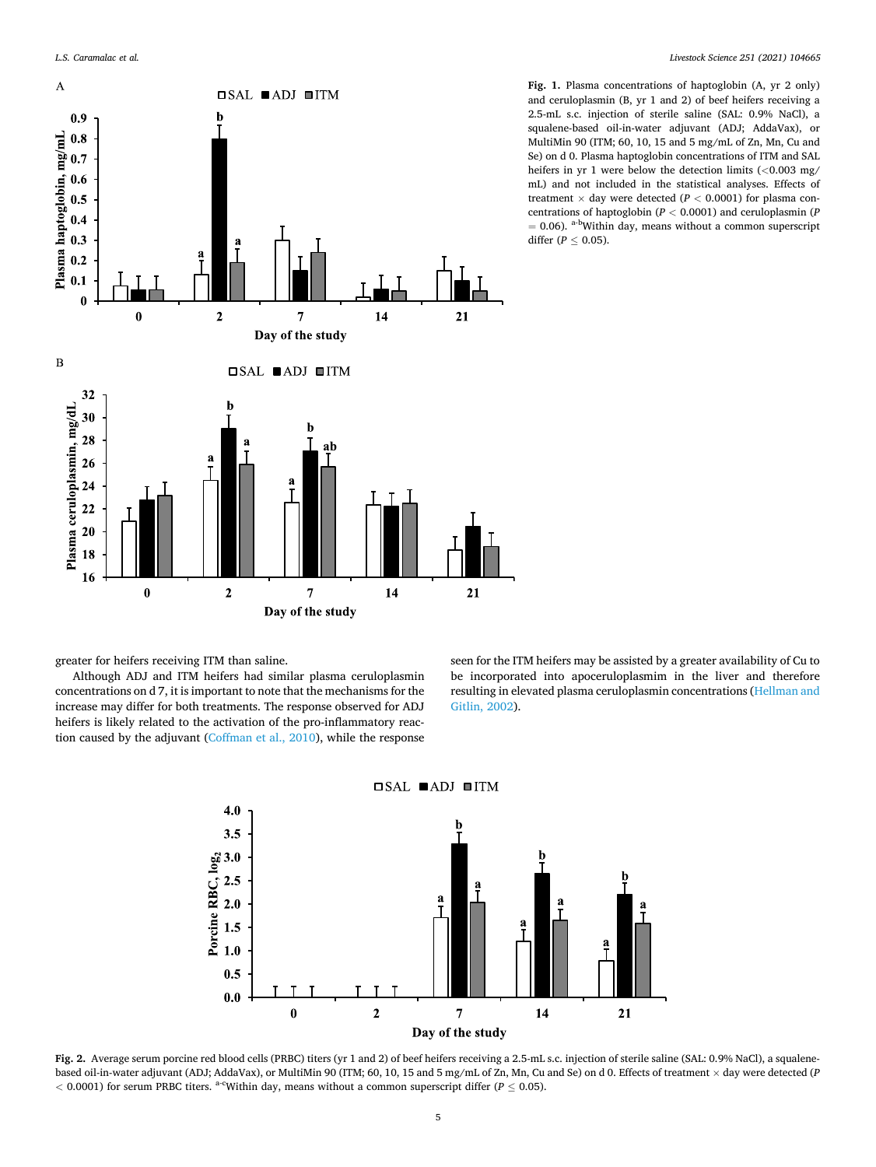<span id="page-4-0"></span>

**Fig. 1.** Plasma concentrations of haptoglobin (A, yr 2 only) and ceruloplasmin (B, yr 1 and 2) of beef heifers receiving a 2.5-mL s.c. injection of sterile saline (SAL: 0.9% NaCl), a squalene-based oil-in-water adjuvant (ADJ; AddaVax), or MultiMin 90 (ITM; 60, 10, 15 and 5 mg/mL of Zn, Mn, Cu and Se) on d 0. Plasma haptoglobin concentrations of ITM and SAL heifers in yr 1 were below the detection limits (*<*0.003 mg/ mL) and not included in the statistical analyses. Effects of treatment  $\times$  day were detected ( $P < 0.0001$ ) for plasma concentrations of haptoglobin (*P <* 0.0001) and ceruloplasmin (*P*   $= 0.06$ ). <sup>a-b</sup>Within day, means without a common superscript differ ( $P \leq 0.05$ ).

greater for heifers receiving ITM than saline.

Although ADJ and ITM heifers had similar plasma ceruloplasmin concentrations on d 7, it is important to note that the mechanisms for the increase may differ for both treatments. The response observed for ADJ heifers is likely related to the activation of the pro-inflammatory reaction caused by the adjuvant ([Coffman et al., 2010\)](#page-5-0), while the response seen for the ITM heifers may be assisted by a greater availability of Cu to be incorporated into apoceruloplasmim in the liver and therefore resulting in elevated plasma ceruloplasmin concentrations [\(Hellman and](#page-5-0)  [Gitlin, 2002](#page-5-0)).



**Fig. 2.** Average serum porcine red blood cells (PRBC) titers (yr 1 and 2) of beef heifers receiving a 2.5-mL s.c. injection of sterile saline (SAL: 0.9% NaCl), a squalenebased oil-in-water adjuvant (ADJ; AddaVax), or MultiMin 90 (ITM; 60, 10, 15 and 5 mg/mL of Zn, Mn, Cu and Se) on d 0. Effects of treatment × day were detected (*P <* 0.0001) for serum PRBC titers. a-cWithin day, means without a common superscript differ (*P* ≤ 0.05).